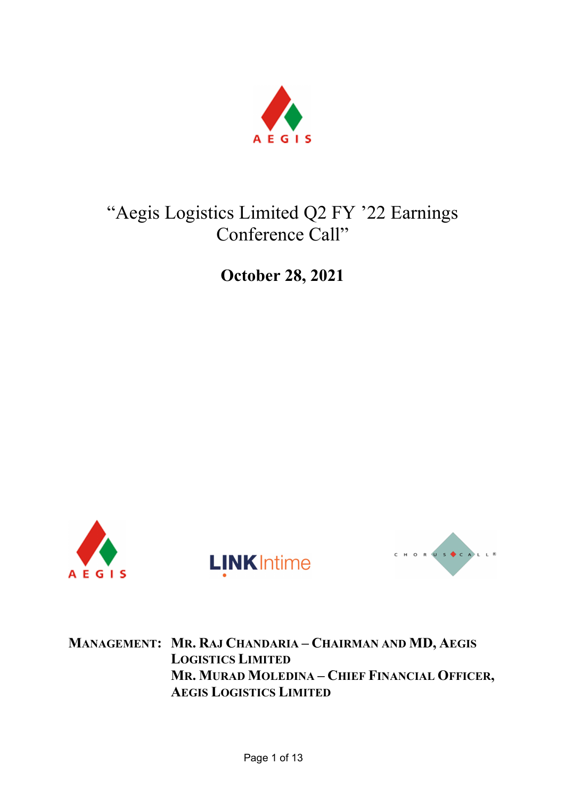

# "Aegis Logistics Limited Q2 FY '22 Earnings Conference Call"

October 28, 2021







MANAGEMENT: MR. RAJ CHANDARIA – CHAIRMAN AND MD, AEGIS LOGISTICS LIMITED MR. MURAD MOLEDINA – CHIEF FINANCIAL OFFICER, AEGIS LOGISTICS LIMITED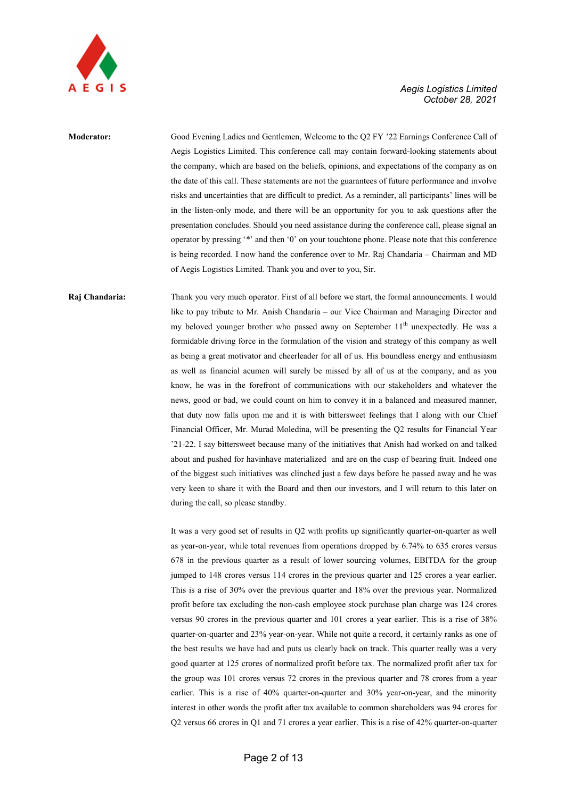

# Moderator: Good Evening Ladies and Gentlemen, Welcome to the Q2 FY '22 Earnings Conference Call of Aegis Logistics Limited. This conference call may contain forward-looking statements about the company, which are based on the beliefs, opinions, and expectations of the company as on the date of this call. These statements are not the guarantees of future performance and involve risks and uncertainties that are difficult to predict. As a reminder, all participants' lines will be in the listen-only mode, and there will be an opportunity for you to ask questions after the presentation concludes. Should you need assistance during the conference call, please signal an operator by pressing '\*' and then '0' on your touchtone phone. Please note that this conference is being recorded. I now hand the conference over to Mr. Raj Chandaria – Chairman and MD of Aegis Logistics Limited. Thank you and over to you, Sir.

# Raj Chandaria: Thank you very much operator. First of all before we start, the formal announcements. I would like to pay tribute to Mr. Anish Chandaria – our Vice Chairman and Managing Director and my beloved younger brother who passed away on September 11<sup>th</sup> unexpectedly. He was a formidable driving force in the formulation of the vision and strategy of this company as well as being a great motivator and cheerleader for all of us. His boundless energy and enthusiasm as well as financial acumen will surely be missed by all of us at the company, and as you know, he was in the forefront of communications with our stakeholders and whatever the news, good or bad, we could count on him to convey it in a balanced and measured manner, that duty now falls upon me and it is with bittersweet feelings that I along with our Chief Financial Officer, Mr. Murad Moledina, will be presenting the Q2 results for Financial Year '21-22. I say bittersweet because many of the initiatives that Anish had worked on and talked about and pushed for havinhave materialized and are on the cusp of bearing fruit. Indeed one of the biggest such initiatives was clinched just a few days before he passed away and he was very keen to share it with the Board and then our investors, and I will return to this later on during the call, so please standby.

It was a very good set of results in Q2 with profits up significantly quarter-on-quarter as well as year-on-year, while total revenues from operations dropped by 6.74% to 635 crores versus 678 in the previous quarter as a result of lower sourcing volumes, EBITDA for the group jumped to 148 crores versus 114 crores in the previous quarter and 125 crores a year earlier. This is a rise of 30% over the previous quarter and 18% over the previous year. Normalized profit before tax excluding the non-cash employee stock purchase plan charge was 124 crores versus 90 crores in the previous quarter and 101 crores a year earlier. This is a rise of 38% quarter-on-quarter and 23% year-on-year. While not quite a record, it certainly ranks as one of the best results we have had and puts us clearly back on track. This quarter really was a very good quarter at 125 crores of normalized profit before tax. The normalized profit after tax for the group was 101 crores versus 72 crores in the previous quarter and 78 crores from a year earlier. This is a rise of 40% quarter-on-quarter and 30% year-on-year, and the minority interest in other words the profit after tax available to common shareholders was 94 crores for Q2 versus 66 crores in Q1 and 71 crores a year earlier. This is a rise of 42% quarter-on-quarter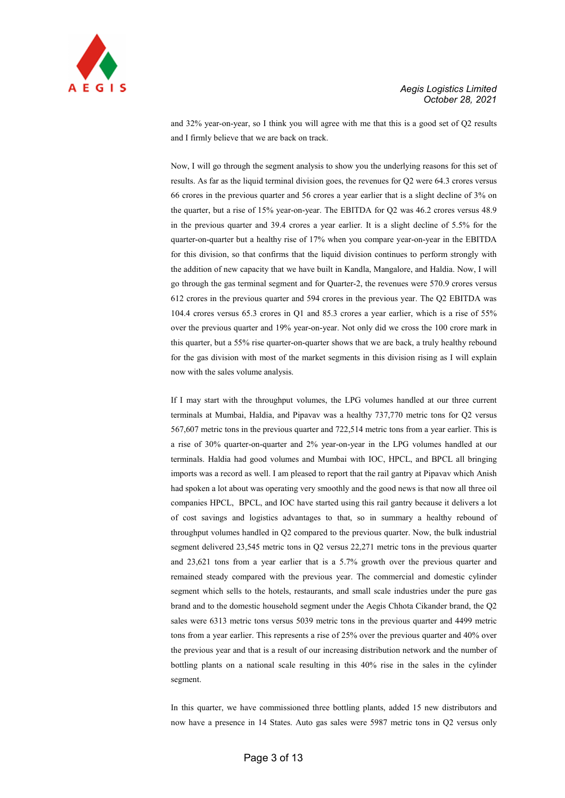

and 32% year-on-year, so I think you will agree with me that this is a good set of Q2 results and I firmly believe that we are back on track.

Now, I will go through the segment analysis to show you the underlying reasons for this set of results. As far as the liquid terminal division goes, the revenues for Q2 were 64.3 crores versus 66 crores in the previous quarter and 56 crores a year earlier that is a slight decline of 3% on the quarter, but a rise of 15% year-on-year. The EBITDA for Q2 was 46.2 crores versus 48.9 in the previous quarter and 39.4 crores a year earlier. It is a slight decline of 5.5% for the quarter-on-quarter but a healthy rise of 17% when you compare year-on-year in the EBITDA for this division, so that confirms that the liquid division continues to perform strongly with the addition of new capacity that we have built in Kandla, Mangalore, and Haldia. Now, I will go through the gas terminal segment and for Quarter-2, the revenues were 570.9 crores versus 612 crores in the previous quarter and 594 crores in the previous year. The Q2 EBITDA was 104.4 crores versus 65.3 crores in Q1 and 85.3 crores a year earlier, which is a rise of 55% over the previous quarter and 19% year-on-year. Not only did we cross the 100 crore mark in this quarter, but a 55% rise quarter-on-quarter shows that we are back, a truly healthy rebound for the gas division with most of the market segments in this division rising as I will explain now with the sales volume analysis.

If I may start with the throughput volumes, the LPG volumes handled at our three current terminals at Mumbai, Haldia, and Pipavav was a healthy 737,770 metric tons for Q2 versus 567,607 metric tons in the previous quarter and 722,514 metric tons from a year earlier. This is a rise of 30% quarter-on-quarter and 2% year-on-year in the LPG volumes handled at our terminals. Haldia had good volumes and Mumbai with IOC, HPCL, and BPCL all bringing imports was a record as well. I am pleased to report that the rail gantry at Pipavav which Anish had spoken a lot about was operating very smoothly and the good news is that now all three oil companies HPCL, BPCL, and IOC have started using this rail gantry because it delivers a lot of cost savings and logistics advantages to that, so in summary a healthy rebound of throughput volumes handled in Q2 compared to the previous quarter. Now, the bulk industrial segment delivered 23,545 metric tons in Q2 versus 22,271 metric tons in the previous quarter and 23,621 tons from a year earlier that is a 5.7% growth over the previous quarter and remained steady compared with the previous year. The commercial and domestic cylinder segment which sells to the hotels, restaurants, and small scale industries under the pure gas brand and to the domestic household segment under the Aegis Chhota Cikander brand, the Q2 sales were 6313 metric tons versus 5039 metric tons in the previous quarter and 4499 metric tons from a year earlier. This represents a rise of 25% over the previous quarter and 40% over the previous year and that is a result of our increasing distribution network and the number of bottling plants on a national scale resulting in this 40% rise in the sales in the cylinder segment.

In this quarter, we have commissioned three bottling plants, added 15 new distributors and now have a presence in 14 States. Auto gas sales were 5987 metric tons in Q2 versus only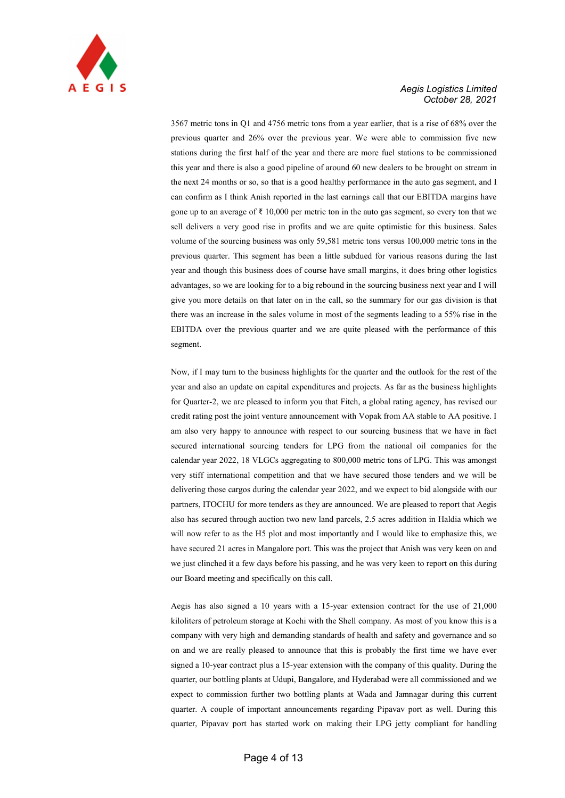

3567 metric tons in Q1 and 4756 metric tons from a year earlier, that is a rise of 68% over the previous quarter and 26% over the previous year. We were able to commission five new stations during the first half of the year and there are more fuel stations to be commissioned this year and there is also a good pipeline of around 60 new dealers to be brought on stream in the next 24 months or so, so that is a good healthy performance in the auto gas segment, and I can confirm as I think Anish reported in the last earnings call that our EBITDA margins have gone up to an average of  $\bar{\tau}$  10,000 per metric ton in the auto gas segment, so every ton that we sell delivers a very good rise in profits and we are quite optimistic for this business. Sales volume of the sourcing business was only 59,581 metric tons versus 100,000 metric tons in the previous quarter. This segment has been a little subdued for various reasons during the last year and though this business does of course have small margins, it does bring other logistics advantages, so we are looking for to a big rebound in the sourcing business next year and I will give you more details on that later on in the call, so the summary for our gas division is that there was an increase in the sales volume in most of the segments leading to a 55% rise in the EBITDA over the previous quarter and we are quite pleased with the performance of this segment.

Now, if I may turn to the business highlights for the quarter and the outlook for the rest of the year and also an update on capital expenditures and projects. As far as the business highlights for Quarter-2, we are pleased to inform you that Fitch, a global rating agency, has revised our credit rating post the joint venture announcement with Vopak from AA stable to AA positive. I am also very happy to announce with respect to our sourcing business that we have in fact secured international sourcing tenders for LPG from the national oil companies for the calendar year 2022, 18 VLGCs aggregating to 800,000 metric tons of LPG. This was amongst very stiff international competition and that we have secured those tenders and we will be delivering those cargos during the calendar year 2022, and we expect to bid alongside with our partners, ITOCHU for more tenders as they are announced. We are pleased to report that Aegis also has secured through auction two new land parcels, 2.5 acres addition in Haldia which we will now refer to as the H5 plot and most importantly and I would like to emphasize this, we have secured 21 acres in Mangalore port. This was the project that Anish was very keen on and we just clinched it a few days before his passing, and he was very keen to report on this during our Board meeting and specifically on this call.

Aegis has also signed a 10 years with a 15-year extension contract for the use of 21,000 kiloliters of petroleum storage at Kochi with the Shell company. As most of you know this is a company with very high and demanding standards of health and safety and governance and so on and we are really pleased to announce that this is probably the first time we have ever signed a 10-year contract plus a 15-year extension with the company of this quality. During the quarter, our bottling plants at Udupi, Bangalore, and Hyderabad were all commissioned and we expect to commission further two bottling plants at Wada and Jamnagar during this current quarter. A couple of important announcements regarding Pipavav port as well. During this quarter, Pipavav port has started work on making their LPG jetty compliant for handling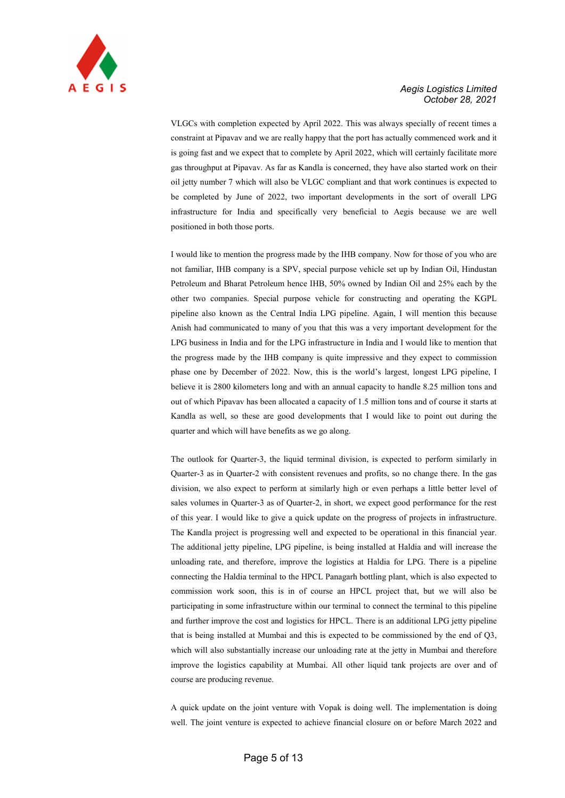

VLGCs with completion expected by April 2022. This was always specially of recent times a constraint at Pipavav and we are really happy that the port has actually commenced work and it is going fast and we expect that to complete by April 2022, which will certainly facilitate more gas throughput at Pipavav. As far as Kandla is concerned, they have also started work on their oil jetty number 7 which will also be VLGC compliant and that work continues is expected to be completed by June of 2022, two important developments in the sort of overall LPG infrastructure for India and specifically very beneficial to Aegis because we are well positioned in both those ports.

I would like to mention the progress made by the IHB company. Now for those of you who are not familiar, IHB company is a SPV, special purpose vehicle set up by Indian Oil, Hindustan Petroleum and Bharat Petroleum hence IHB, 50% owned by Indian Oil and 25% each by the other two companies. Special purpose vehicle for constructing and operating the KGPL pipeline also known as the Central India LPG pipeline. Again, I will mention this because Anish had communicated to many of you that this was a very important development for the LPG business in India and for the LPG infrastructure in India and I would like to mention that the progress made by the IHB company is quite impressive and they expect to commission phase one by December of 2022. Now, this is the world's largest, longest LPG pipeline, I believe it is 2800 kilometers long and with an annual capacity to handle 8.25 million tons and out of which Pipavav has been allocated a capacity of 1.5 million tons and of course it starts at Kandla as well, so these are good developments that I would like to point out during the quarter and which will have benefits as we go along.

The outlook for Quarter-3, the liquid terminal division, is expected to perform similarly in Quarter-3 as in Quarter-2 with consistent revenues and profits, so no change there. In the gas division, we also expect to perform at similarly high or even perhaps a little better level of sales volumes in Quarter-3 as of Quarter-2, in short, we expect good performance for the rest of this year. I would like to give a quick update on the progress of projects in infrastructure. The Kandla project is progressing well and expected to be operational in this financial year. The additional jetty pipeline, LPG pipeline, is being installed at Haldia and will increase the unloading rate, and therefore, improve the logistics at Haldia for LPG. There is a pipeline connecting the Haldia terminal to the HPCL Panagarh bottling plant, which is also expected to commission work soon, this is in of course an HPCL project that, but we will also be participating in some infrastructure within our terminal to connect the terminal to this pipeline and further improve the cost and logistics for HPCL. There is an additional LPG jetty pipeline that is being installed at Mumbai and this is expected to be commissioned by the end of Q3, which will also substantially increase our unloading rate at the jetty in Mumbai and therefore improve the logistics capability at Mumbai. All other liquid tank projects are over and of course are producing revenue.

A quick update on the joint venture with Vopak is doing well. The implementation is doing well. The joint venture is expected to achieve financial closure on or before March 2022 and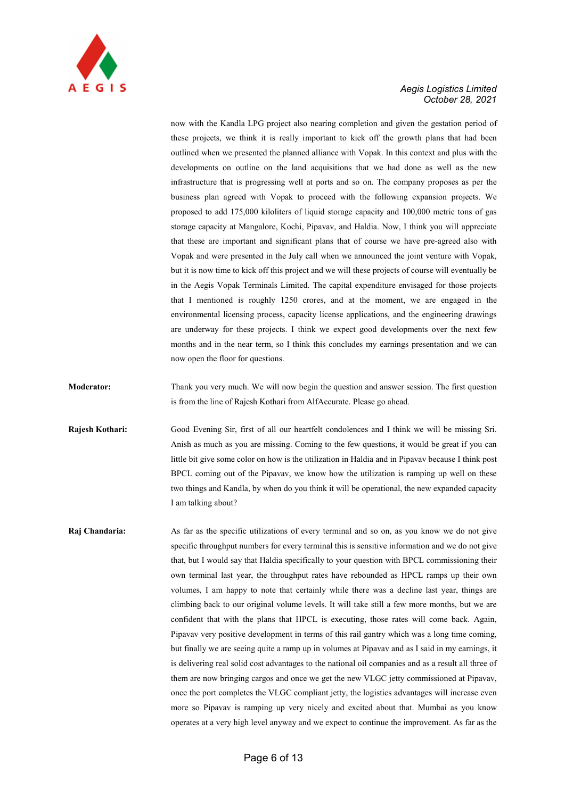

now with the Kandla LPG project also nearing completion and given the gestation period of these projects, we think it is really important to kick off the growth plans that had been outlined when we presented the planned alliance with Vopak. In this context and plus with the developments on outline on the land acquisitions that we had done as well as the new infrastructure that is progressing well at ports and so on. The company proposes as per the business plan agreed with Vopak to proceed with the following expansion projects. We proposed to add 175,000 kiloliters of liquid storage capacity and 100,000 metric tons of gas storage capacity at Mangalore, Kochi, Pipavav, and Haldia. Now, I think you will appreciate that these are important and significant plans that of course we have pre-agreed also with Vopak and were presented in the July call when we announced the joint venture with Vopak, but it is now time to kick off this project and we will these projects of course will eventually be in the Aegis Vopak Terminals Limited. The capital expenditure envisaged for those projects that I mentioned is roughly 1250 crores, and at the moment, we are engaged in the environmental licensing process, capacity license applications, and the engineering drawings are underway for these projects. I think we expect good developments over the next few months and in the near term, so I think this concludes my earnings presentation and we can now open the floor for questions.

- Moderator: Thank you very much. We will now begin the question and answer session. The first question is from the line of Rajesh Kothari from AlfAccurate. Please go ahead.
- Rajesh Kothari: Good Evening Sir, first of all our heartfelt condolences and I think we will be missing Sri. Anish as much as you are missing. Coming to the few questions, it would be great if you can little bit give some color on how is the utilization in Haldia and in Pipavav because I think post BPCL coming out of the Pipavav, we know how the utilization is ramping up well on these two things and Kandla, by when do you think it will be operational, the new expanded capacity I am talking about?
- Raj Chandaria: As far as the specific utilizations of every terminal and so on, as you know we do not give specific throughput numbers for every terminal this is sensitive information and we do not give that, but I would say that Haldia specifically to your question with BPCL commissioning their own terminal last year, the throughput rates have rebounded as HPCL ramps up their own volumes, I am happy to note that certainly while there was a decline last year, things are climbing back to our original volume levels. It will take still a few more months, but we are confident that with the plans that HPCL is executing, those rates will come back. Again, Pipavav very positive development in terms of this rail gantry which was a long time coming, but finally we are seeing quite a ramp up in volumes at Pipavav and as I said in my earnings, it is delivering real solid cost advantages to the national oil companies and as a result all three of them are now bringing cargos and once we get the new VLGC jetty commissioned at Pipavav, once the port completes the VLGC compliant jetty, the logistics advantages will increase even more so Pipavav is ramping up very nicely and excited about that. Mumbai as you know operates at a very high level anyway and we expect to continue the improvement. As far as the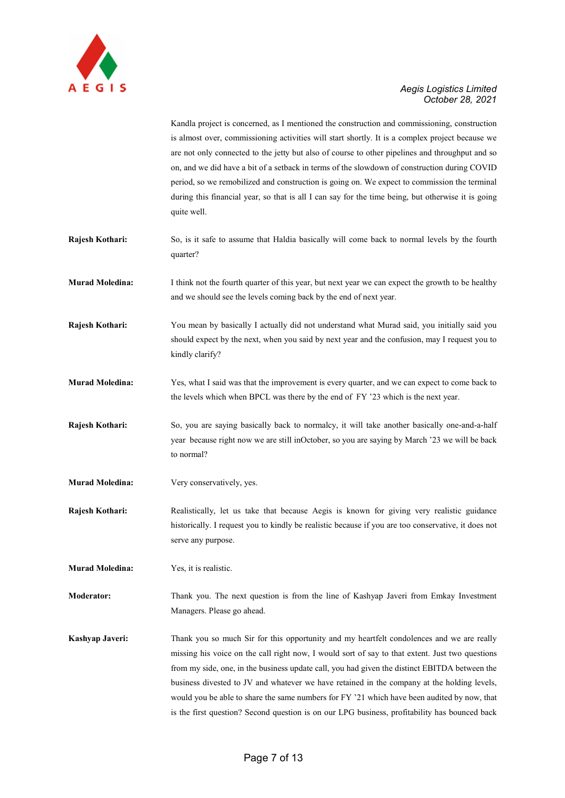

Kandla project is concerned, as I mentioned the construction and commissioning, construction is almost over, commissioning activities will start shortly. It is a complex project because we are not only connected to the jetty but also of course to other pipelines and throughput and so on, and we did have a bit of a setback in terms of the slowdown of construction during COVID period, so we remobilized and construction is going on. We expect to commission the terminal during this financial year, so that is all I can say for the time being, but otherwise it is going quite well.

- Rajesh Kothari: So, is it safe to assume that Haldia basically will come back to normal levels by the fourth quarter?
- Murad Moledina: I think not the fourth quarter of this year, but next year we can expect the growth to be healthy and we should see the levels coming back by the end of next year.
- Rajesh Kothari: You mean by basically I actually did not understand what Murad said, you initially said you should expect by the next, when you said by next year and the confusion, may I request you to kindly clarify?
- Murad Moledina: Yes, what I said was that the improvement is every quarter, and we can expect to come back to the levels which when BPCL was there by the end of FY '23 which is the next year.
- Rajesh Kothari: So, you are saying basically back to normalcy, it will take another basically one-and-a-half year because right now we are still inOctober, so you are saying by March '23 we will be back to normal?
- Murad Moledina: Very conservatively, yes.
- Rajesh Kothari: Realistically, let us take that because Aegis is known for giving very realistic guidance historically. I request you to kindly be realistic because if you are too conservative, it does not serve any purpose.

Murad Moledina: Yes, it is realistic.

Moderator: Thank you. The next question is from the line of Kashyap Javeri from Emkay Investment Managers. Please go ahead.

Kashyap Javeri: Thank you so much Sir for this opportunity and my heartfelt condolences and we are really missing his voice on the call right now, I would sort of say to that extent. Just two questions from my side, one, in the business update call, you had given the distinct EBITDA between the business divested to JV and whatever we have retained in the company at the holding levels, would you be able to share the same numbers for FY '21 which have been audited by now, that is the first question? Second question is on our LPG business, profitability has bounced back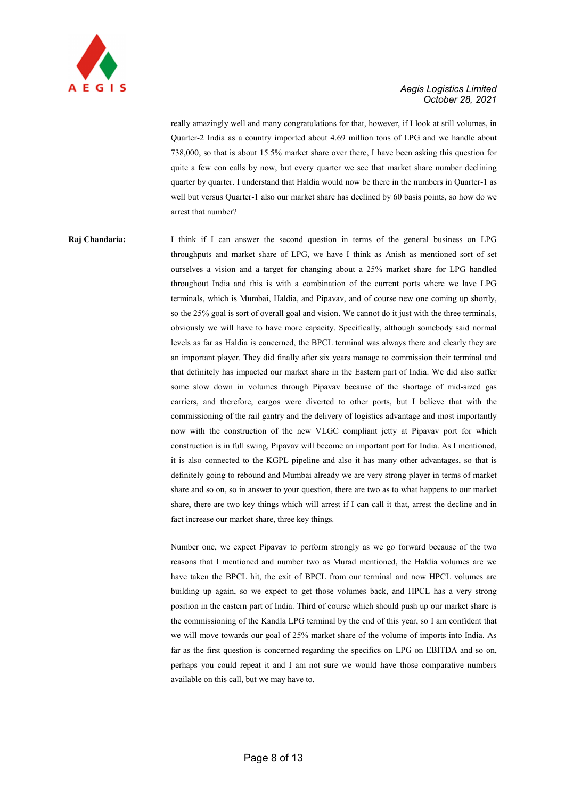

really amazingly well and many congratulations for that, however, if I look at still volumes, in Quarter-2 India as a country imported about 4.69 million tons of LPG and we handle about 738,000, so that is about 15.5% market share over there, I have been asking this question for quite a few con calls by now, but every quarter we see that market share number declining quarter by quarter. I understand that Haldia would now be there in the numbers in Quarter-1 as well but versus Quarter-1 also our market share has declined by 60 basis points, so how do we arrest that number?

Raj Chandaria: I think if I can answer the second question in terms of the general business on LPG throughputs and market share of LPG, we have I think as Anish as mentioned sort of set ourselves a vision and a target for changing about a 25% market share for LPG handled throughout India and this is with a combination of the current ports where we lave LPG terminals, which is Mumbai, Haldia, and Pipavav, and of course new one coming up shortly, so the 25% goal is sort of overall goal and vision. We cannot do it just with the three terminals, obviously we will have to have more capacity. Specifically, although somebody said normal levels as far as Haldia is concerned, the BPCL terminal was always there and clearly they are an important player. They did finally after six years manage to commission their terminal and that definitely has impacted our market share in the Eastern part of India. We did also suffer some slow down in volumes through Pipavav because of the shortage of mid-sized gas carriers, and therefore, cargos were diverted to other ports, but I believe that with the commissioning of the rail gantry and the delivery of logistics advantage and most importantly now with the construction of the new VLGC compliant jetty at Pipavav port for which construction is in full swing, Pipavav will become an important port for India. As I mentioned, it is also connected to the KGPL pipeline and also it has many other advantages, so that is definitely going to rebound and Mumbai already we are very strong player in terms of market share and so on, so in answer to your question, there are two as to what happens to our market share, there are two key things which will arrest if I can call it that, arrest the decline and in fact increase our market share, three key things.

> Number one, we expect Pipavav to perform strongly as we go forward because of the two reasons that I mentioned and number two as Murad mentioned, the Haldia volumes are we have taken the BPCL hit, the exit of BPCL from our terminal and now HPCL volumes are building up again, so we expect to get those volumes back, and HPCL has a very strong position in the eastern part of India. Third of course which should push up our market share is the commissioning of the Kandla LPG terminal by the end of this year, so I am confident that we will move towards our goal of 25% market share of the volume of imports into India. As far as the first question is concerned regarding the specifics on LPG on EBITDA and so on, perhaps you could repeat it and I am not sure we would have those comparative numbers available on this call, but we may have to.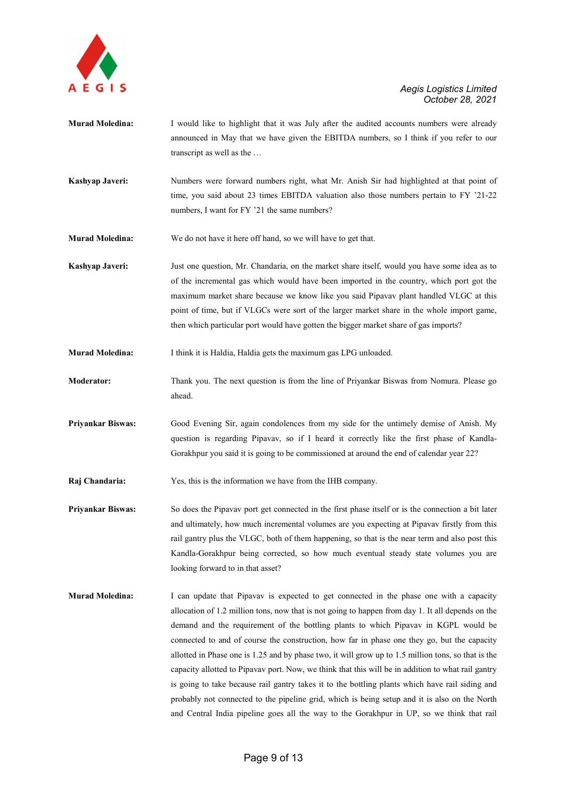

- Murad Moledina: I would like to highlight that it was July after the audited accounts numbers were already announced in May that we have given the EBITDA numbers, so I think if you refer to our transcript as well as the …
- Kashyap Javeri: Numbers were forward numbers right, what Mr. Anish Sir had highlighted at that point of time, you said about 23 times EBITDA valuation also those numbers pertain to FY '21-22 numbers, I want for FY '21 the same numbers?
- Murad Moledina: We do not have it here off hand, so we will have to get that.
- Kashyap Javeri: Just one question, Mr. Chandaria, on the market share itself, would you have some idea as to of the incremental gas which would have been imported in the country, which port got the maximum market share because we know like you said Pipavav plant handled VLGC at this point of time, but if VLGCs were sort of the larger market share in the whole import game, then which particular port would have gotten the bigger market share of gas imports?
- Murad Moledina: I think it is Haldia, Haldia gets the maximum gas LPG unloaded.
- Moderator: Thank you. The next question is from the line of Priyankar Biswas from Nomura. Please go ahead.
- Priyankar Biswas: Good Evening Sir, again condolences from my side for the untimely demise of Anish. My question is regarding Pipavav, so if I heard it correctly like the first phase of Kandla-Gorakhpur you said it is going to be commissioned at around the end of calendar year 22?
- Raj Chandaria: Yes, this is the information we have from the IHB company.
- Priyankar Biswas: So does the Pipavav port get connected in the first phase itself or is the connection a bit later and ultimately, how much incremental volumes are you expecting at Pipavav firstly from this rail gantry plus the VLGC, both of them happening, so that is the near term and also post this Kandla-Gorakhpur being corrected, so how much eventual steady state volumes you are looking forward to in that asset?
- Murad Moledina: I can update that Pipavav is expected to get connected in the phase one with a capacity allocation of 1.2 million tons, now that is not going to happen from day 1. It all depends on the demand and the requirement of the bottling plants to which Pipavav in KGPL would be connected to and of course the construction, how far in phase one they go, but the capacity allotted in Phase one is 1.25 and by phase two, it will grow up to 1.5 million tons, so that is the capacity allotted to Pipavav port. Now, we think that this will be in addition to what rail gantry is going to take because rail gantry takes it to the bottling plants which have rail siding and probably not connected to the pipeline grid, which is being setup and it is also on the North and Central India pipeline goes all the way to the Gorakhpur in UP, so we think that rail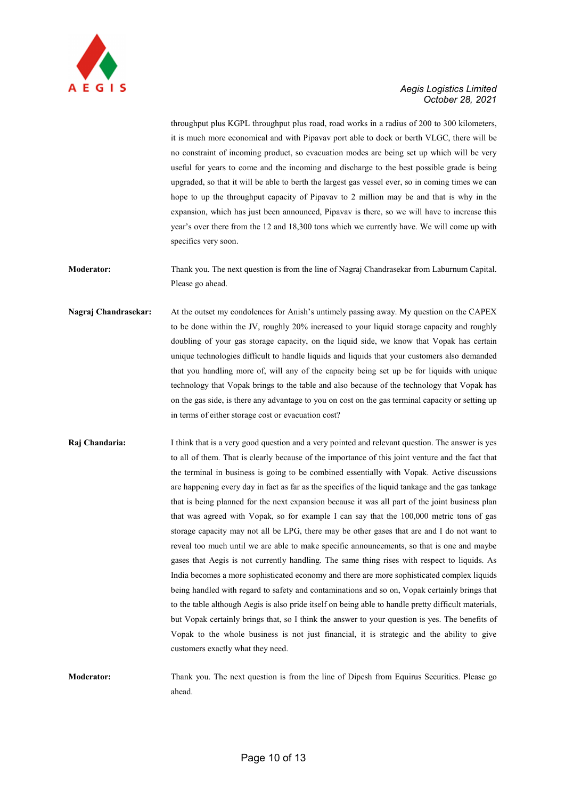

throughput plus KGPL throughput plus road, road works in a radius of 200 to 300 kilometers, it is much more economical and with Pipavav port able to dock or berth VLGC, there will be no constraint of incoming product, so evacuation modes are being set up which will be very useful for years to come and the incoming and discharge to the best possible grade is being upgraded, so that it will be able to berth the largest gas vessel ever, so in coming times we can hope to up the throughput capacity of Pipavav to 2 million may be and that is why in the expansion, which has just been announced, Pipavav is there, so we will have to increase this year's over there from the 12 and 18,300 tons which we currently have. We will come up with specifics very soon.

Moderator: Thank you. The next question is from the line of Nagraj Chandrasekar from Laburnum Capital. Please go ahead.

Nagraj Chandrasekar: At the outset my condolences for Anish's untimely passing away. My question on the CAPEX to be done within the JV, roughly 20% increased to your liquid storage capacity and roughly doubling of your gas storage capacity, on the liquid side, we know that Vopak has certain unique technologies difficult to handle liquids and liquids that your customers also demanded that you handling more of, will any of the capacity being set up be for liquids with unique technology that Vopak brings to the table and also because of the technology that Vopak has on the gas side, is there any advantage to you on cost on the gas terminal capacity or setting up in terms of either storage cost or evacuation cost?

Raj Chandaria: I think that is a very good question and a very pointed and relevant question. The answer is yes to all of them. That is clearly because of the importance of this joint venture and the fact that the terminal in business is going to be combined essentially with Vopak. Active discussions are happening every day in fact as far as the specifics of the liquid tankage and the gas tankage that is being planned for the next expansion because it was all part of the joint business plan that was agreed with Vopak, so for example I can say that the 100,000 metric tons of gas storage capacity may not all be LPG, there may be other gases that are and I do not want to reveal too much until we are able to make specific announcements, so that is one and maybe gases that Aegis is not currently handling. The same thing rises with respect to liquids. As India becomes a more sophisticated economy and there are more sophisticated complex liquids being handled with regard to safety and contaminations and so on, Vopak certainly brings that to the table although Aegis is also pride itself on being able to handle pretty difficult materials, but Vopak certainly brings that, so I think the answer to your question is yes. The benefits of Vopak to the whole business is not just financial, it is strategic and the ability to give customers exactly what they need.

Moderator: Thank you. The next question is from the line of Dipesh from Equirus Securities. Please go ahead.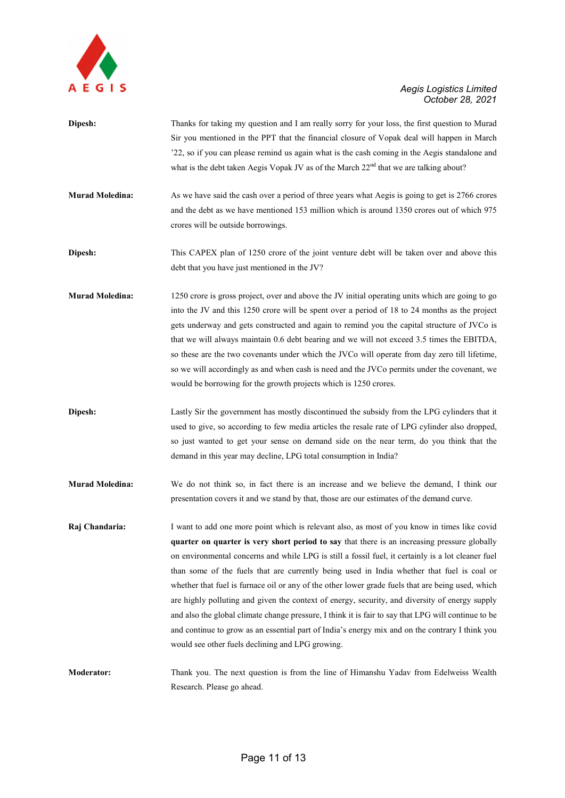

Dipesh: Thanks for taking my question and I am really sorry for your loss, the first question to Murad Sir you mentioned in the PPT that the financial closure of Vopak deal will happen in March '22, so if you can please remind us again what is the cash coming in the Aegis standalone and what is the debt taken Aegis Vopak JV as of the March  $22<sup>nd</sup>$  that we are talking about? Murad Moledina: As we have said the cash over a period of three years what Aegis is going to get is 2766 crores and the debt as we have mentioned 153 million which is around 1350 crores out of which 975 crores will be outside borrowings. Dipesh: This CAPEX plan of 1250 crore of the joint venture debt will be taken over and above this debt that you have just mentioned in the JV? Murad Moledina: 1250 crore is gross project, over and above the JV initial operating units which are going to go into the JV and this 1250 crore will be spent over a period of 18 to 24 months as the project gets underway and gets constructed and again to remind you the capital structure of JVCo is that we will always maintain 0.6 debt bearing and we will not exceed 3.5 times the EBITDA, so these are the two covenants under which the JVCo will operate from day zero till lifetime, so we will accordingly as and when cash is need and the JVCo permits under the covenant, we would be borrowing for the growth projects which is 1250 crores. Dipesh: Lastly Sir the government has mostly discontinued the subsidy from the LPG cylinders that it used to give, so according to few media articles the resale rate of LPG cylinder also dropped, so just wanted to get your sense on demand side on the near term, do you think that the demand in this year may decline, LPG total consumption in India? Murad Moledina: We do not think so, in fact there is an increase and we believe the demand, I think our presentation covers it and we stand by that, those are our estimates of the demand curve. Raj Chandaria: I want to add one more point which is relevant also, as most of you know in times like covid quarter on quarter is very short period to say that there is an increasing pressure globally on environmental concerns and while LPG is still a fossil fuel, it certainly is a lot cleaner fuel than some of the fuels that are currently being used in India whether that fuel is coal or whether that fuel is furnace oil or any of the other lower grade fuels that are being used, which are highly polluting and given the context of energy, security, and diversity of energy supply and also the global climate change pressure, I think it is fair to say that LPG will continue to be and continue to grow as an essential part of India's energy mix and on the contrary I think you would see other fuels declining and LPG growing. Moderator: Thank you. The next question is from the line of Himanshu Yadav from Edelweiss Wealth Research. Please go ahead.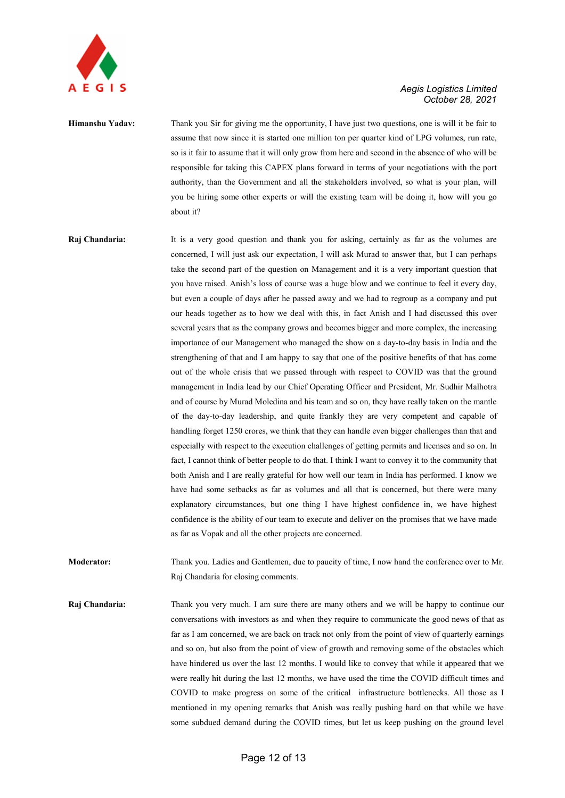

Himanshu Yadav: Thank you Sir for giving me the opportunity, I have just two questions, one is will it be fair to assume that now since it is started one million ton per quarter kind of LPG volumes, run rate, so is it fair to assume that it will only grow from here and second in the absence of who will be responsible for taking this CAPEX plans forward in terms of your negotiations with the port authority, than the Government and all the stakeholders involved, so what is your plan, will you be hiring some other experts or will the existing team will be doing it, how will you go about it?

Raj Chandaria: It is a very good question and thank you for asking, certainly as far as the volumes are concerned, I will just ask our expectation, I will ask Murad to answer that, but I can perhaps take the second part of the question on Management and it is a very important question that you have raised. Anish's loss of course was a huge blow and we continue to feel it every day, but even a couple of days after he passed away and we had to regroup as a company and put our heads together as to how we deal with this, in fact Anish and I had discussed this over several years that as the company grows and becomes bigger and more complex, the increasing importance of our Management who managed the show on a day-to-day basis in India and the strengthening of that and I am happy to say that one of the positive benefits of that has come out of the whole crisis that we passed through with respect to COVID was that the ground management in India lead by our Chief Operating Officer and President, Mr. Sudhir Malhotra and of course by Murad Moledina and his team and so on, they have really taken on the mantle of the day-to-day leadership, and quite frankly they are very competent and capable of handling forget 1250 crores, we think that they can handle even bigger challenges than that and especially with respect to the execution challenges of getting permits and licenses and so on. In fact, I cannot think of better people to do that. I think I want to convey it to the community that both Anish and I are really grateful for how well our team in India has performed. I know we have had some setbacks as far as volumes and all that is concerned, but there were many explanatory circumstances, but one thing I have highest confidence in, we have highest confidence is the ability of our team to execute and deliver on the promises that we have made as far as Vopak and all the other projects are concerned.

Moderator: Thank you. Ladies and Gentlemen, due to paucity of time, I now hand the conference over to Mr. Raj Chandaria for closing comments.

Raj Chandaria: Thank you very much. I am sure there are many others and we will be happy to continue our conversations with investors as and when they require to communicate the good news of that as far as I am concerned, we are back on track not only from the point of view of quarterly earnings and so on, but also from the point of view of growth and removing some of the obstacles which have hindered us over the last 12 months. I would like to convey that while it appeared that we were really hit during the last 12 months, we have used the time the COVID difficult times and COVID to make progress on some of the critical infrastructure bottlenecks. All those as I mentioned in my opening remarks that Anish was really pushing hard on that while we have some subdued demand during the COVID times, but let us keep pushing on the ground level